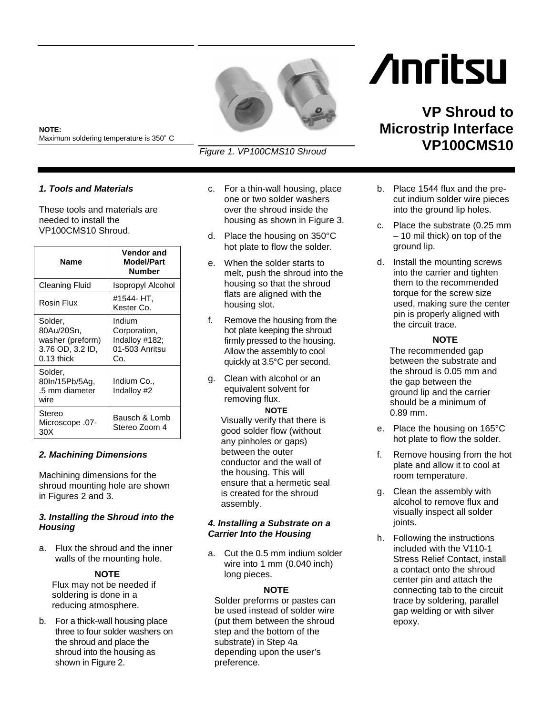

# **NOTE:**  Maximum soldering temperature is 350° C<br>

## *1. Tools and Materials*

These tools and materials are needed to install the VP100CMS10 Shroud.

| Name                                                                          | <b>Vendor and</b><br><b>Model/Part</b><br>Number                  |
|-------------------------------------------------------------------------------|-------------------------------------------------------------------|
| <b>Cleaning Fluid</b>                                                         | <b>Isopropyl Alcohol</b>                                          |
| Rosin Flux                                                                    | #1544- HT.<br>Kester Co.                                          |
| Solder,<br>80Au/20Sn,<br>washer (preform)<br>3.76 OD, 3.2 ID,<br>$0.13$ thick | Indium<br>Corporation,<br>Indalloy #182;<br>01-503 Anritsu<br>Co. |
| Solder,<br>80In/15Pb/5Ag,<br>.5 mm diameter<br>wire                           | Indium Co.,<br>Indalloy #2                                        |
| Stereo<br>-07. Microscope<br>30X                                              | Bausch & Lomb<br>Stereo Zoom 4                                    |

# *2. Machining Dimensions*

Machining dimensions for the shroud mounting hole are shown in Figures 2 and 3.

## *3. Installing the Shroud into the Housing*

a. Flux the shroud and the inner walls of the mounting hole.

## **NOTE**

Flux may not be needed if soldering is done in a reducing atmosphere.

b. For a thick-wall housing place three to four solder washers on the shroud and place the shroud into the housing as shown in Figure 2.

c. For a thin-wall housing, place one or two solder washers over the shroud inside the housing as shown in Figure 3.

*Figure 1. VP100CMS10 Shroud*

- d. Place the housing on 350°C<br>hot plate to flow the solder. hot plate to flow the solder.
- e. When the solder starts to melt, push the shroud into the housing so that the shroud flats are aligned with the housing slot.
- f. Remove the housing from the hot plate keeping the shroud firmly pressed to the housing. Allow the assembly to cool
- quickly at 3.5°C per second.<br>Clean with alcohol or an<br>equivalent selvent for g. Clean with alcohol or an equivalent solvent for removing flux.

#### **NOTE**

Visually verify that there is good solder flow (without any pinholes or gaps) between the outer conductor and the wall of the housing. This will ensure that a hermetic seal is created for the shroud assembly.

#### *4. Installing a Substrate on a Carrier Into the Housing*

a. Cut the 0.5 mm indium solder wire into 1 mm (0.040 inch) long pieces.

#### **NOTE**

Solder preforms or pastes can be used instead of solder wire (put them between the shroud step and the bottom of the substrate) in Step 4a depending upon the user's preference.

# **Anritsu**

# **VP Shroud to Microstrip Interface VP100CMS10**

- b. Place 1544 flux and the precut indium solder wire pieces into the ground lip holes.
- c. Place the substrate (0.25 mm – 10 mil thick) on top of the ground lip.
- d. Install the mounting screws into the carrier and tighten them to the recommended torque for the screw size used, making sure the center pin is properly aligned with the circuit trace.

#### **NOTE**

The recommended gap between the substrate and the shroud is 0.05 mm and the gap between the ground lip and the carrier should be a minimum of 0.89 mm.

- e. Place the housing on 165°C hot plate to flow the solder.
- f. Remove housing from the hot plate and allow it to cool at room temperature.
- g. Clean the assembly with alcohol to remove flux and visually inspect all solder joints.
- h. Following the instructions included with the V110-1 Stress Relief Contact, install a contact onto the shroud center pin and attach the connecting tab to the circuit trace by soldering, parallel gap welding or with silver epoxy.